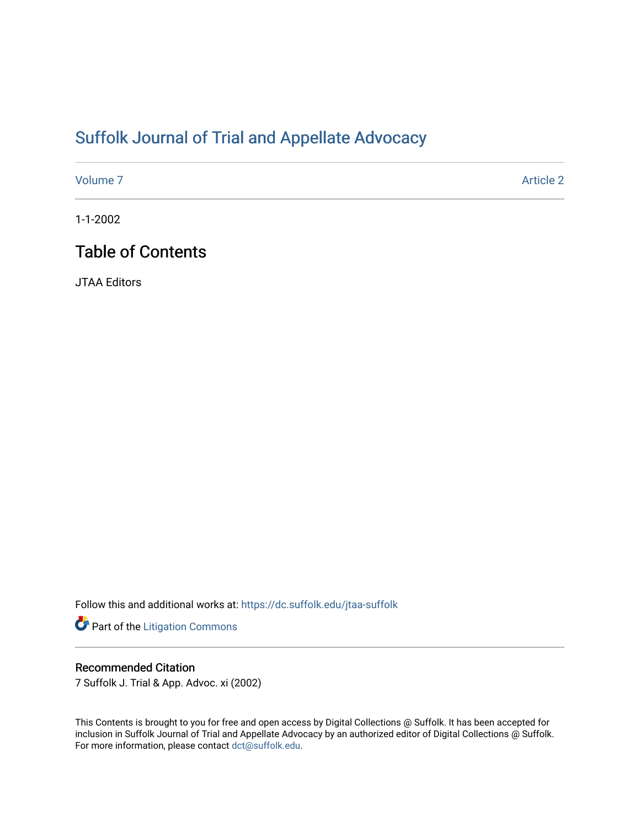## [Suffolk Journal of Trial and Appellate Advocacy](https://dc.suffolk.edu/jtaa-suffolk)

[Volume 7](https://dc.suffolk.edu/jtaa-suffolk/vol7) Article 2

1-1-2002

## Table of Contents

JTAA Editors

Follow this and additional works at: [https://dc.suffolk.edu/jtaa-suffolk](https://dc.suffolk.edu/jtaa-suffolk?utm_source=dc.suffolk.edu%2Fjtaa-suffolk%2Fvol7%2Fiss1%2F2&utm_medium=PDF&utm_campaign=PDFCoverPages) 

Part of the [Litigation Commons](http://network.bepress.com/hgg/discipline/910?utm_source=dc.suffolk.edu%2Fjtaa-suffolk%2Fvol7%2Fiss1%2F2&utm_medium=PDF&utm_campaign=PDFCoverPages)

#### Recommended Citation

7 Suffolk J. Trial & App. Advoc. xi (2002)

This Contents is brought to you for free and open access by Digital Collections @ Suffolk. It has been accepted for inclusion in Suffolk Journal of Trial and Appellate Advocacy by an authorized editor of Digital Collections @ Suffolk. For more information, please contact [dct@suffolk.edu](mailto:dct@suffolk.edu).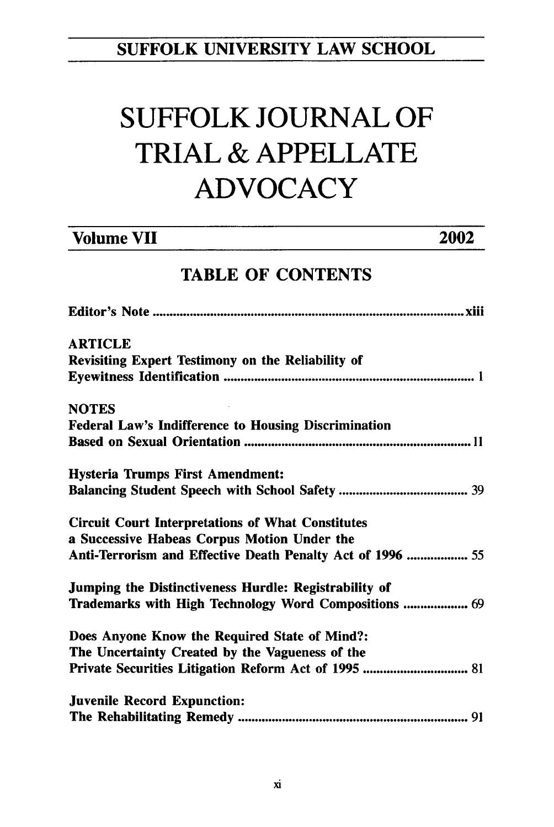### **SUFFOLK UNIVERSITY** LAW **SCHOOL**

# **SUFFOLK JOURNAL** OF TRIAL **& APPELLATE ADVOCACY**

| <b>Volume VII</b>                                 | 2002 |
|---------------------------------------------------|------|
| <b>TABLE OF CONTENTS</b>                          |      |
|                                                   |      |
| <b>ARTICLE</b>                                    |      |
| Revisiting Expert Testimony on the Reliability of |      |
|                                                   |      |

## **NOTES** Federal Law's Indifference to Housing Discrimination Based on Sexual Orientation **............................................................... 11** Hysteria Trumps First Amendment: Balancing Student Speech with School Safety **................................. 39** Circuit Court Interpretations of What Constitutes a Successive Habeas Corpus Motion Under the Anti-Terrorism and Effective Death Penalty Act of **1996** .............. **55** Jumping the Distinctiveness Hurdle: Registrability of Trademarks with High Technology Word Compositions .............. **69** Does Anyone Know the Required State of Mind?: The Uncertainty Created **by** the Vagueness of the Private Securities Litigation Reform Act of **1995 ........................... 81** Juvenile Record Expunction:

| JUVENNE RECOFU EXPUNCHON: |  |
|---------------------------|--|
|                           |  |